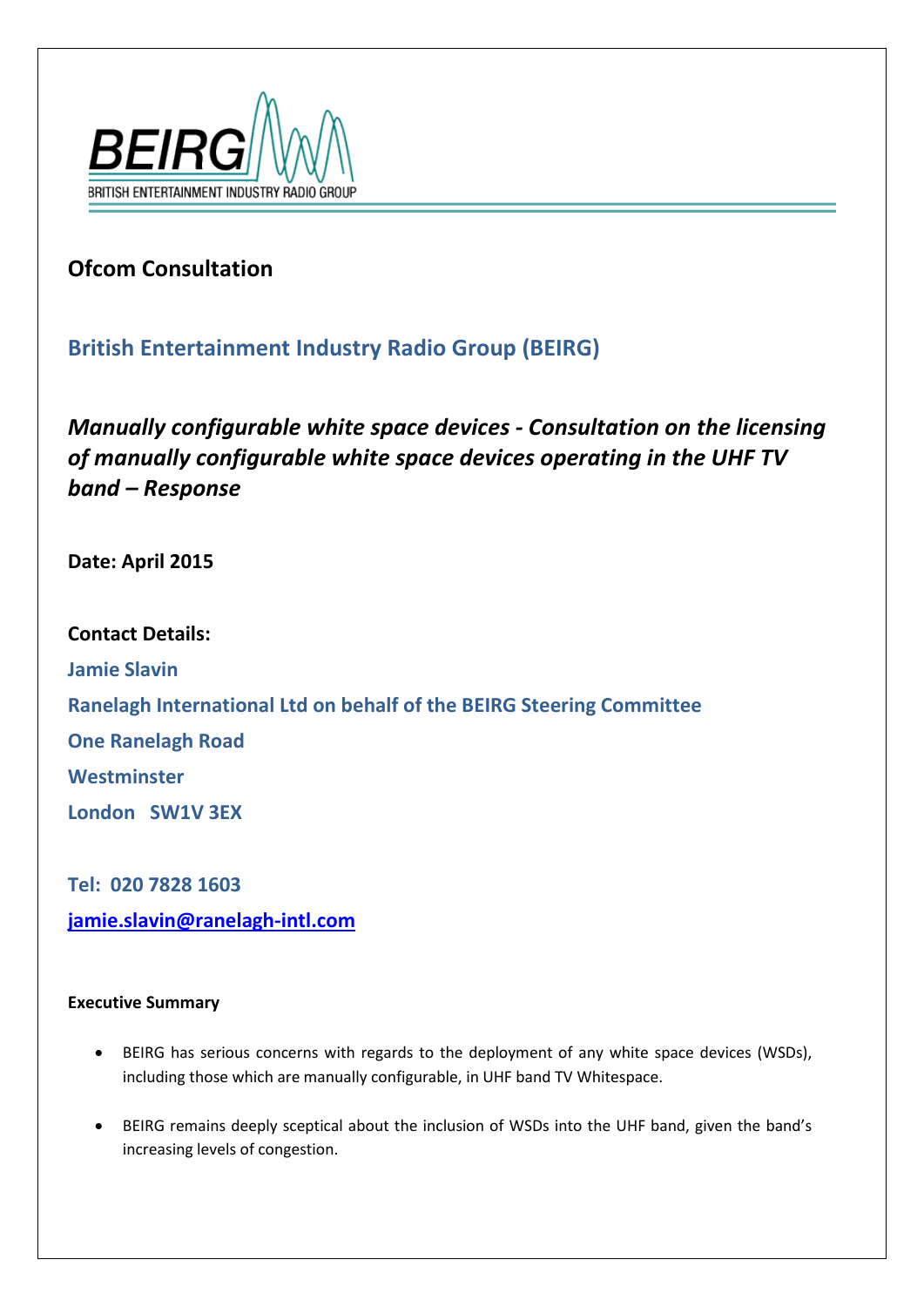

# **Ofcom Consultation**

## **British Entertainment Industry Radio Group (BEIRG)**

*Manually configurable white space devices - Consultation on the licensing of manually configurable white space devices operating in the UHF TV band – Response*

**Date: April 2015**

**Contact Details: Jamie Slavin Ranelagh International Ltd on behalf of the BEIRG Steering Committee One Ranelagh Road Westminster London SW1V 3EX**

**Tel: 020 7828 1603 [jamie.slavin@ranelagh-intl.com](mailto:jamie.slavin@ranelagh-intl.com)**

## **Executive Summary**

- BEIRG has serious concerns with regards to the deployment of any white space devices (WSDs), including those which are manually configurable, in UHF band TV Whitespace.
- BEIRG remains deeply sceptical about the inclusion of WSDs into the UHF band, given the band's increasing levels of congestion.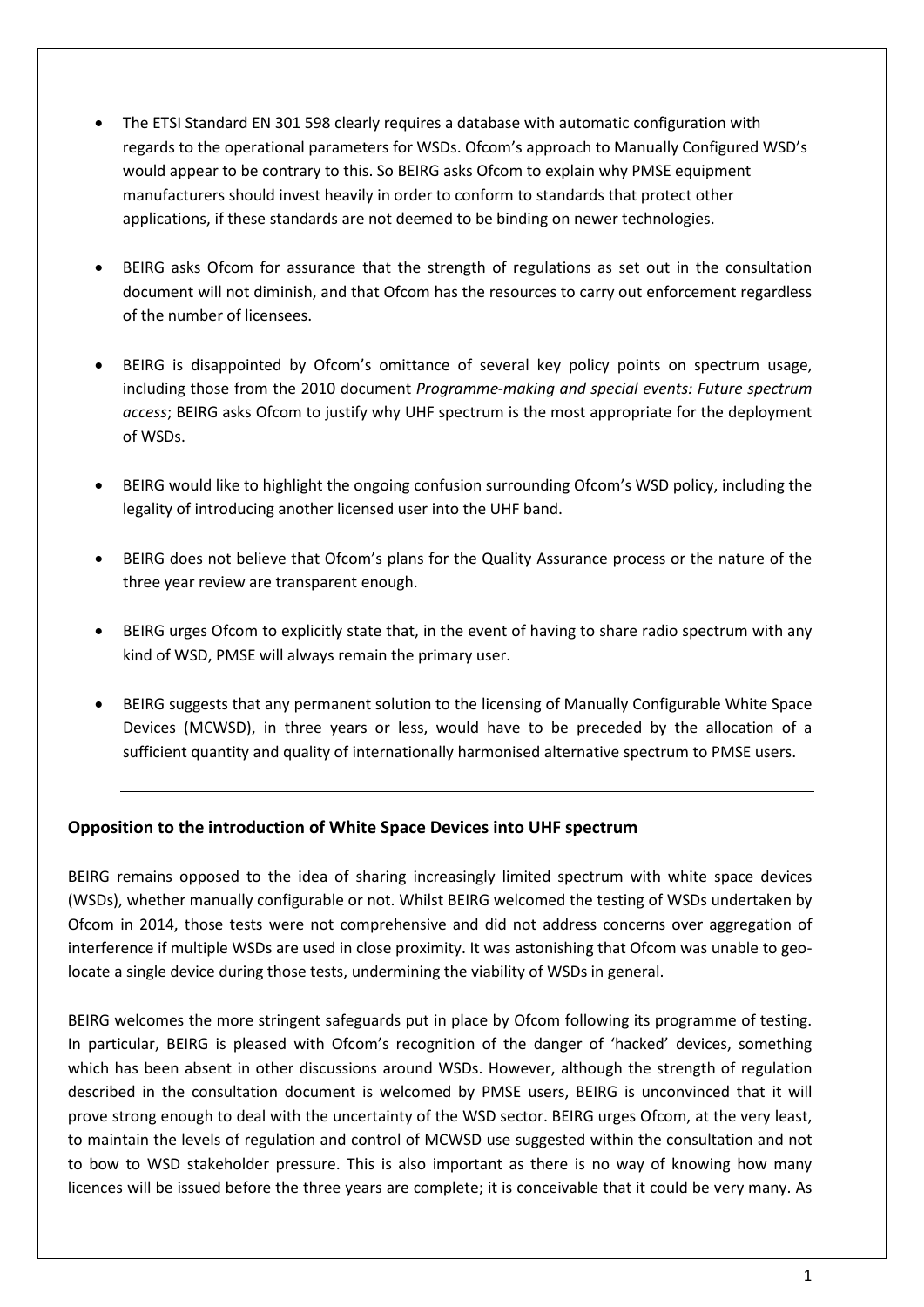- The ETSI Standard EN 301 598 clearly requires a database with automatic configuration with regards to the operational parameters for WSDs. Ofcom's approach to Manually Configured WSD's would appear to be contrary to this. So BEIRG asks Ofcom to explain why PMSE equipment manufacturers should invest heavily in order to conform to standards that protect other applications, if these standards are not deemed to be binding on newer technologies.
- BEIRG asks Ofcom for assurance that the strength of regulations as set out in the consultation document will not diminish, and that Ofcom has the resources to carry out enforcement regardless of the number of licensees.
- BEIRG is disappointed by Ofcom's omittance of several key policy points on spectrum usage, including those from the 2010 document *Programme-making and special events: Future spectrum access*; BEIRG asks Ofcom to justify why UHF spectrum is the most appropriate for the deployment of WSDs.
- BEIRG would like to highlight the ongoing confusion surrounding Ofcom's WSD policy, including the legality of introducing another licensed user into the UHF band.
- BEIRG does not believe that Ofcom's plans for the Quality Assurance process or the nature of the three year review are transparent enough.
- BEIRG urges Ofcom to explicitly state that, in the event of having to share radio spectrum with any kind of WSD, PMSE will always remain the primary user.
- BEIRG suggests that any permanent solution to the licensing of Manually Configurable White Space Devices (MCWSD), in three years or less, would have to be preceded by the allocation of a sufficient quantity and quality of internationally harmonised alternative spectrum to PMSE users.

#### **Opposition to the introduction of White Space Devices into UHF spectrum**

BEIRG remains opposed to the idea of sharing increasingly limited spectrum with white space devices (WSDs), whether manually configurable or not. Whilst BEIRG welcomed the testing of WSDs undertaken by Ofcom in 2014, those tests were not comprehensive and did not address concerns over aggregation of interference if multiple WSDs are used in close proximity. It was astonishing that Ofcom was unable to geolocate a single device during those tests, undermining the viability of WSDs in general.

BEIRG welcomes the more stringent safeguards put in place by Ofcom following its programme of testing. In particular, BEIRG is pleased with Ofcom's recognition of the danger of 'hacked' devices, something which has been absent in other discussions around WSDs. However, although the strength of regulation described in the consultation document is welcomed by PMSE users, BEIRG is unconvinced that it will prove strong enough to deal with the uncertainty of the WSD sector. BEIRG urges Ofcom, at the very least, to maintain the levels of regulation and control of MCWSD use suggested within the consultation and not to bow to WSD stakeholder pressure. This is also important as there is no way of knowing how many licences will be issued before the three years are complete; it is conceivable that it could be very many. As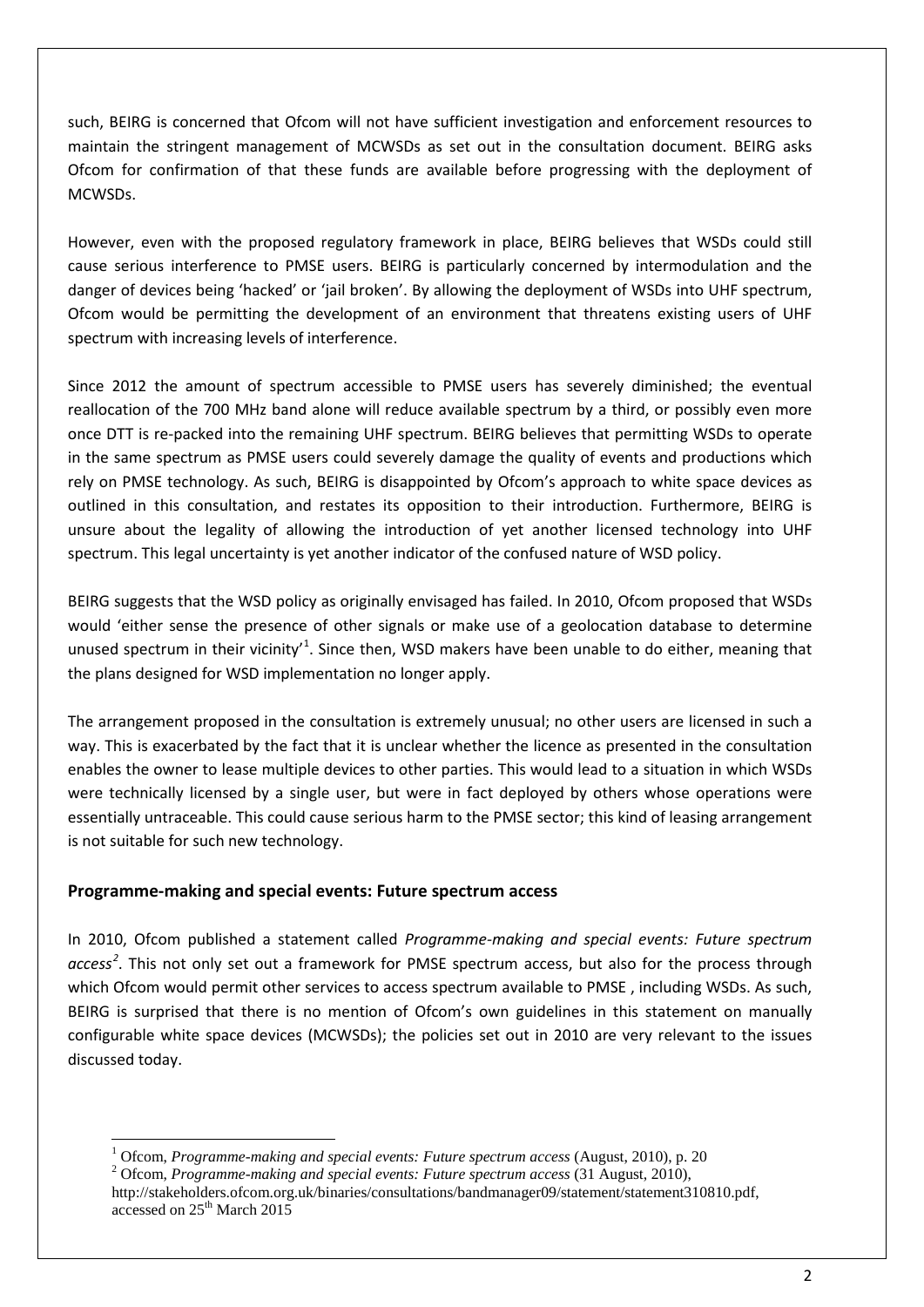such, BEIRG is concerned that Ofcom will not have sufficient investigation and enforcement resources to maintain the stringent management of MCWSDs as set out in the consultation document. BEIRG asks Ofcom for confirmation of that these funds are available before progressing with the deployment of MCWSDs.

However, even with the proposed regulatory framework in place, BEIRG believes that WSDs could still cause serious interference to PMSE users. BEIRG is particularly concerned by intermodulation and the danger of devices being 'hacked' or 'jail broken'. By allowing the deployment of WSDs into UHF spectrum, Ofcom would be permitting the development of an environment that threatens existing users of UHF spectrum with increasing levels of interference.

Since 2012 the amount of spectrum accessible to PMSE users has severely diminished; the eventual reallocation of the 700 MHz band alone will reduce available spectrum by a third, or possibly even more once DTT is re-packed into the remaining UHF spectrum. BEIRG believes that permitting WSDs to operate in the same spectrum as PMSE users could severely damage the quality of events and productions which rely on PMSE technology. As such, BEIRG is disappointed by Ofcom's approach to white space devices as outlined in this consultation, and restates its opposition to their introduction. Furthermore, BEIRG is unsure about the legality of allowing the introduction of yet another licensed technology into UHF spectrum. This legal uncertainty is yet another indicator of the confused nature of WSD policy.

BEIRG suggests that the WSD policy as originally envisaged has failed. In 2010, Ofcom proposed that WSDs would 'either sense the presence of other signals or make use of a geolocation database to determine unused spectrum in their vicinity<sup>[1](#page-2-0)</sup>. Since then, WSD makers have been unable to do either, meaning that the plans designed for WSD implementation no longer apply.

The arrangement proposed in the consultation is extremely unusual; no other users are licensed in such a way. This is exacerbated by the fact that it is unclear whether the licence as presented in the consultation enables the owner to lease multiple devices to other parties. This would lead to a situation in which WSDs were technically licensed by a single user, but were in fact deployed by others whose operations were essentially untraceable. This could cause serious harm to the PMSE sector; this kind of leasing arrangement is not suitable for such new technology.

#### **Programme-making and special events: Future spectrum access**

**.** 

In 2010, Ofcom published a statement called *Programme-making and special events: Future spectrum access[2](#page-2-1)* . This not only set out a framework for PMSE spectrum access, but also for the process through which Ofcom would permit other services to access spectrum available to PMSE , including WSDs. As such, BEIRG is surprised that there is no mention of Ofcom's own guidelines in this statement on manually configurable white space devices (MCWSDs); the policies set out in 2010 are very relevant to the issues discussed today.

<span id="page-2-0"></span><sup>&</sup>lt;sup>1</sup> Ofcom, *Programme-making and special events: Future spectrum access* (August, 2010), p. 20<br><sup>2</sup> Ofcom, *Programme-making and special events: Future spectrum access* (31 August, 2010),

<span id="page-2-1"></span>

http://stakeholders.ofcom.org.uk/binaries/consultations/bandmanager09/statement/statement310810.pdf, accessed on 25<sup>th</sup> March 2015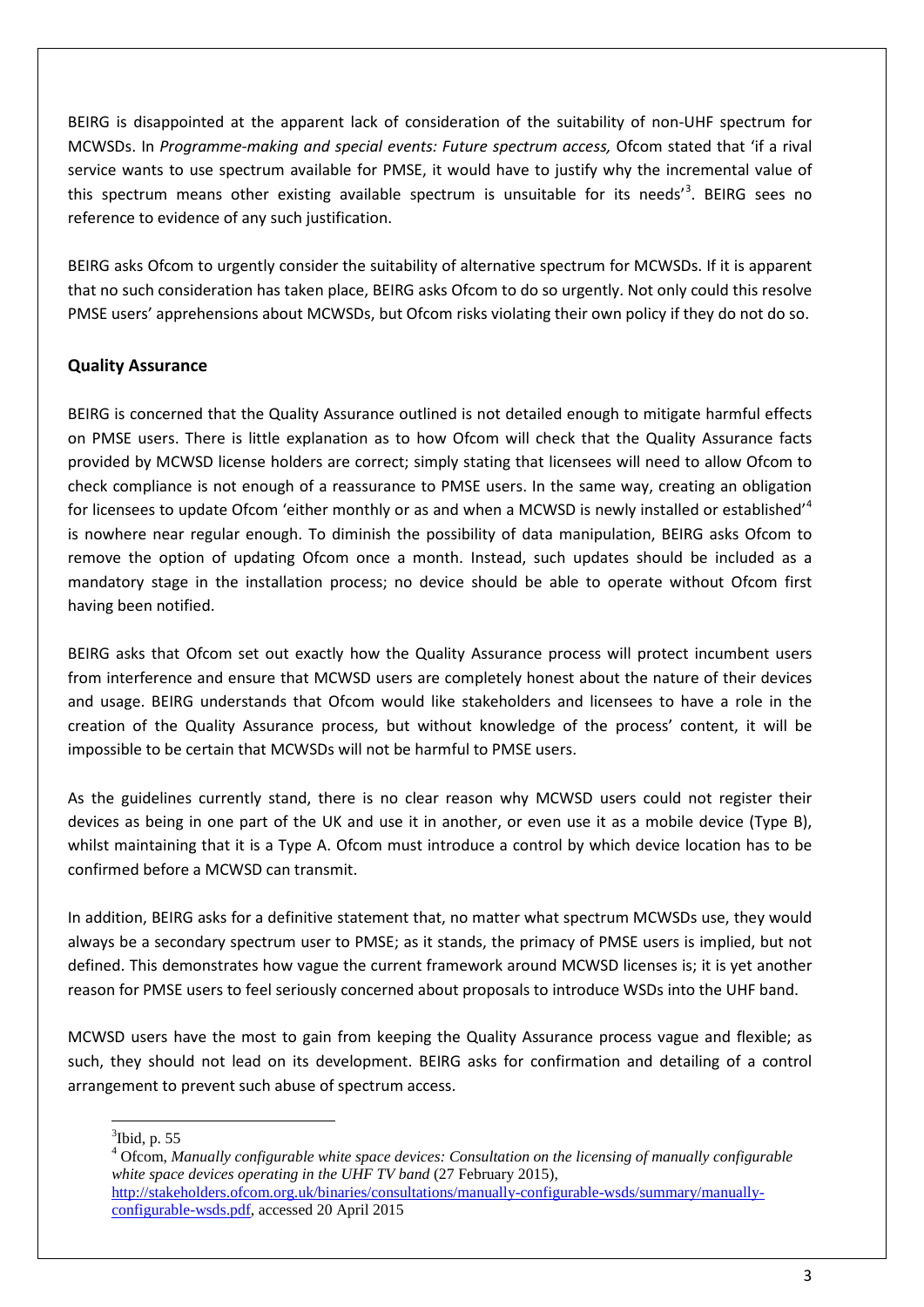BEIRG is disappointed at the apparent lack of consideration of the suitability of non-UHF spectrum for MCWSDs. In *Programme-making and special events: Future spectrum access,* Ofcom stated that 'if a rival service wants to use spectrum available for PMSE, it would have to justify why the incremental value of this spectrum means other existing available spectrum is unsuitable for its needs<sup>'[3](#page-3-0)</sup>. BEIRG sees no reference to evidence of any such justification.

BEIRG asks Ofcom to urgently consider the suitability of alternative spectrum for MCWSDs. If it is apparent that no such consideration has taken place, BEIRG asks Ofcom to do so urgently. Not only could this resolve PMSE users' apprehensions about MCWSDs, but Ofcom risks violating their own policy if they do not do so.

## **Quality Assurance**

BEIRG is concerned that the Quality Assurance outlined is not detailed enough to mitigate harmful effects on PMSE users. There is little explanation as to how Ofcom will check that the Quality Assurance facts provided by MCWSD license holders are correct; simply stating that licensees will need to allow Ofcom to check compliance is not enough of a reassurance to PMSE users. In the same way, creating an obligation for licensees to update Ofcom 'either monthly or as and when a MCWSD is newly installed or established'<sup>[4](#page-3-1)</sup> is nowhere near regular enough. To diminish the possibility of data manipulation, BEIRG asks Ofcom to remove the option of updating Ofcom once a month. Instead, such updates should be included as a mandatory stage in the installation process; no device should be able to operate without Ofcom first having been notified.

BEIRG asks that Ofcom set out exactly how the Quality Assurance process will protect incumbent users from interference and ensure that MCWSD users are completely honest about the nature of their devices and usage. BEIRG understands that Ofcom would like stakeholders and licensees to have a role in the creation of the Quality Assurance process, but without knowledge of the process' content, it will be impossible to be certain that MCWSDs will not be harmful to PMSE users.

As the guidelines currently stand, there is no clear reason why MCWSD users could not register their devices as being in one part of the UK and use it in another, or even use it as a mobile device (Type B), whilst maintaining that it is a Type A. Ofcom must introduce a control by which device location has to be confirmed before a MCWSD can transmit.

In addition, BEIRG asks for a definitive statement that, no matter what spectrum MCWSDs use, they would always be a secondary spectrum user to PMSE; as it stands, the primacy of PMSE users is implied, but not defined. This demonstrates how vague the current framework around MCWSD licenses is; it is yet another reason for PMSE users to feel seriously concerned about proposals to introduce WSDs into the UHF band.

MCWSD users have the most to gain from keeping the Quality Assurance process vague and flexible; as such, they should not lead on its development. BEIRG asks for confirmation and detailing of a control arrangement to prevent such abuse of spectrum access.

<sup>3</sup> Ibid, p. 55  $\overline{a}$ 

<span id="page-3-1"></span><span id="page-3-0"></span><sup>4</sup> Ofcom, *Manually configurable white space devices: Consultation on the licensing of manually configurable white space devices operating in the UHF TV band* (27 February 2015), [http://stakeholders.ofcom.org.uk/binaries/consultations/manually-configurable-wsds/summary/manually](http://stakeholders.ofcom.org.uk/binaries/consultations/manually-configurable-wsds/summary/manually-configurable-wsds.pdf)[configurable-wsds.pdf,](http://stakeholders.ofcom.org.uk/binaries/consultations/manually-configurable-wsds/summary/manually-configurable-wsds.pdf) accessed 20 April 2015